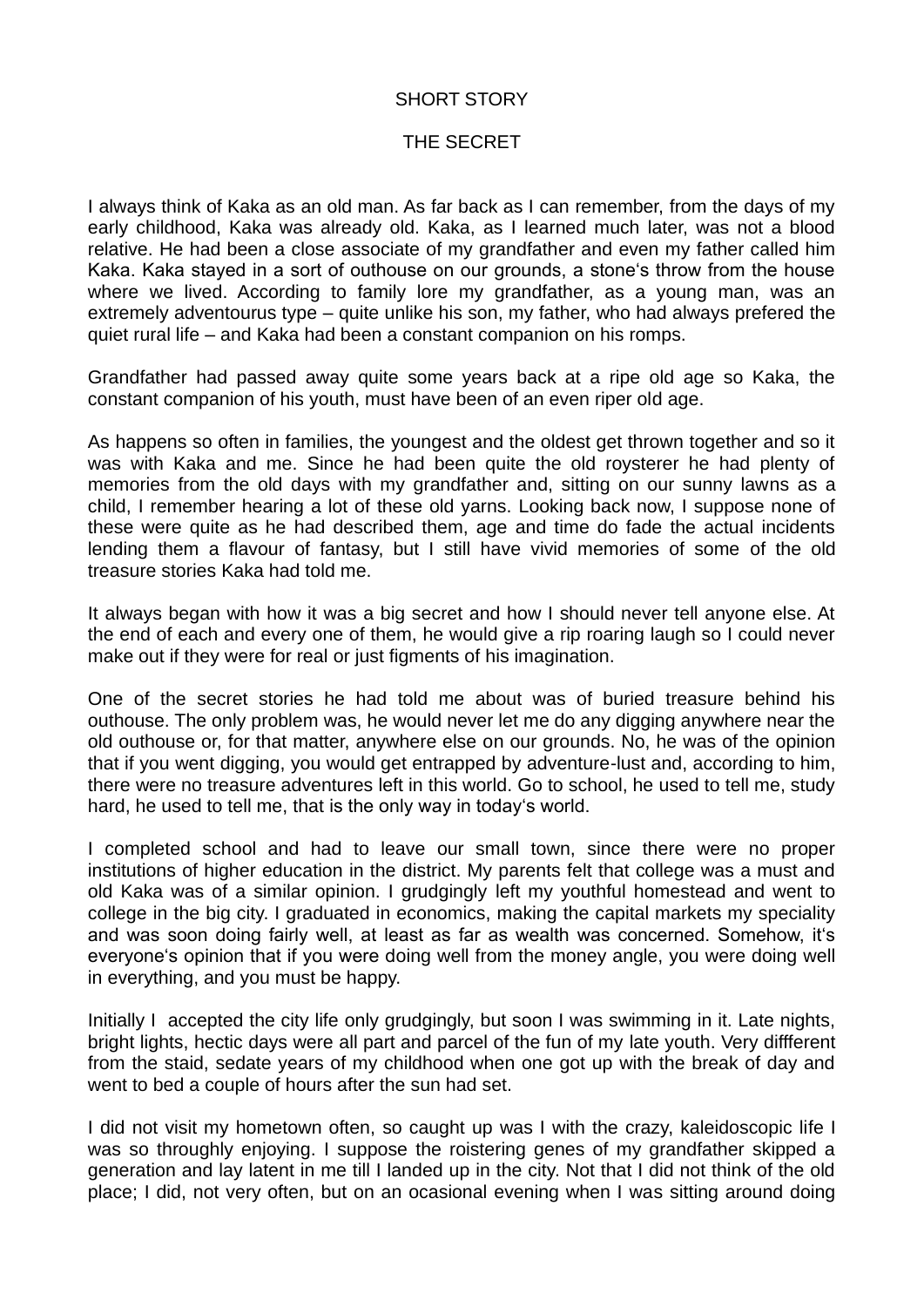## SHORT STORY

## THE SECRET

I always think of Kaka as an old man. As far back as I can remember, from the days of my early childhood, Kaka was already old. Kaka, as I learned much later, was not a blood relative. He had been a close associate of my grandfather and even my father called him Kaka. Kaka stayed in a sort of outhouse on our grounds, a stone's throw from the house where we lived. According to family lore my grandfather, as a young man, was an extremely adventourus type – quite unlike his son, my father, who had always prefered the quiet rural life – and Kaka had been a constant companion on his romps.

Grandfather had passed away quite some years back at a ripe old age so Kaka, the constant companion of his youth, must have been of an even riper old age.

As happens so often in families, the youngest and the oldest get thrown together and so it was with Kaka and me. Since he had been quite the old roysterer he had plenty of memories from the old days with my grandfather and, sitting on our sunny lawns as a child, I remember hearing a lot of these old yarns. Looking back now, I suppose none of these were quite as he had described them, age and time do fade the actual incidents lending them a flavour of fantasy, but I still have vivid memories of some of the old treasure stories Kaka had told me.

It always began with how it was a big secret and how I should never tell anyone else. At the end of each and every one of them, he would give a rip roaring laugh so I could never make out if they were for real or just figments of his imagination.

One of the secret stories he had told me about was of buried treasure behind his outhouse. The only problem was, he would never let me do any digging anywhere near the old outhouse or, for that matter, anywhere else on our grounds. No, he was of the opinion that if you went digging, you would get entrapped by adventure-lust and, according to him, there were no treasure adventures left in this world. Go to school, he used to tell me, study hard, he used to tell me, that is the only way in today's world.

I completed school and had to leave our small town, since there were no proper institutions of higher education in the district. My parents felt that college was a must and old Kaka was of a similar opinion. I grudgingly left my youthful homestead and went to college in the big city. I graduated in economics, making the capital markets my speciality and was soon doing fairly well, at least as far as wealth was concerned. Somehow, it's everyone's opinion that if you were doing well from the money angle, you were doing well in everything, and you must be happy.

Initially I accepted the city life only grudgingly, but soon I was swimming in it. Late nights, bright lights, hectic days were all part and parcel of the fun of my late youth. Very diffferent from the staid, sedate years of my childhood when one got up with the break of day and went to bed a couple of hours after the sun had set.

I did not visit my hometown often, so caught up was I with the crazy, kaleidoscopic life I was so throughly enjoying. I suppose the roistering genes of my grandfather skipped a generation and lay latent in me till I landed up in the city. Not that I did not think of the old place; I did, not very often, but on an ocasional evening when I was sitting around doing